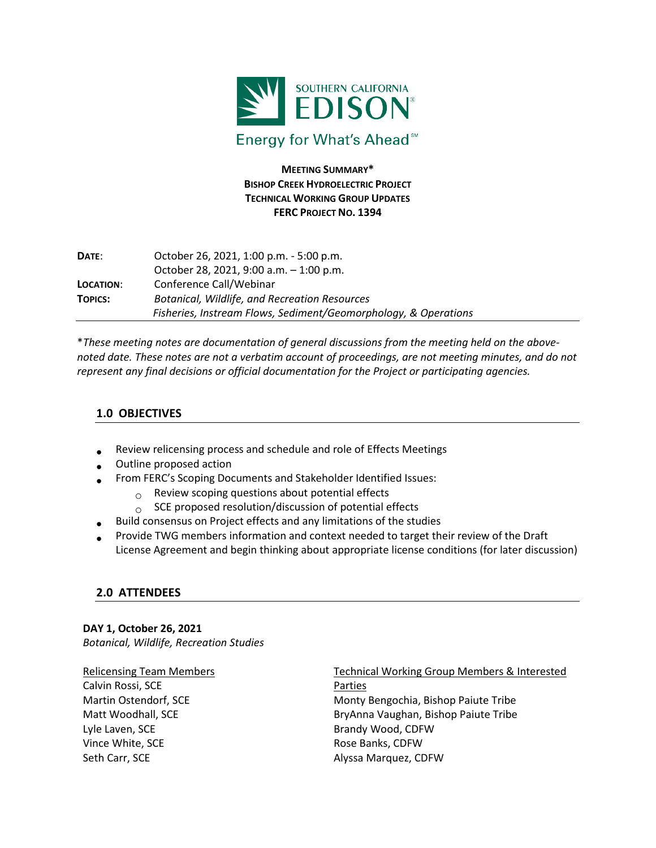

**MEETING SUMMARY\* BISHOP CREEK HYDROELECTRIC PROJECT TECHNICAL WORKING GROUP UPDATES FERC PROJECT NO. 1394**

| DATE:          | October 26, 2021, 1:00 p.m. - 5:00 p.m.                         |
|----------------|-----------------------------------------------------------------|
|                | October 28, 2021, 9:00 a.m. $-1:00$ p.m.                        |
| LOCATION:      | Conference Call/Webinar                                         |
| <b>TOPICS:</b> | <b>Botanical, Wildlife, and Recreation Resources</b>            |
|                | Fisheries, Instream Flows, Sediment/Geomorphology, & Operations |

\**These meeting notes are documentation of general discussions from the meeting held on the abovenoted date. These notes are not a verbatim account of proceedings, are not meeting minutes, and do not represent any final decisions or official documentation for the Project or participating agencies.*

### **1.0 OBJECTIVES**

- Review relicensing process and schedule and role of Effects Meetings
- Outline proposed action
- From FERC's Scoping Documents and Stakeholder Identified Issues:
	- $_{\circ}$  Review scoping questions about potential effects
	- $\circ$  SCE proposed resolution/discussion of potential effects
- Build consensus on Project effects and any limitations of the studies
- Provide TWG members information and context needed to target their review of the Draft License Agreement and begin thinking about appropriate license conditions (for later discussion)

### **2.0 ATTENDEES**

**DAY 1, October 26, 2021** *Botanical, Wildlife, Recreation Studies*

Relicensing Team Members Calvin Rossi, SCE Martin Ostendorf, SCE Matt Woodhall, SCE Lyle Laven, SCE Vince White, SCE Seth Carr, SCE

Technical Working Group Members & Interested Parties Monty Bengochia, Bishop Paiute Tribe BryAnna Vaughan, Bishop Paiute Tribe Brandy Wood, CDFW Rose Banks, CDFW Alyssa Marquez, CDFW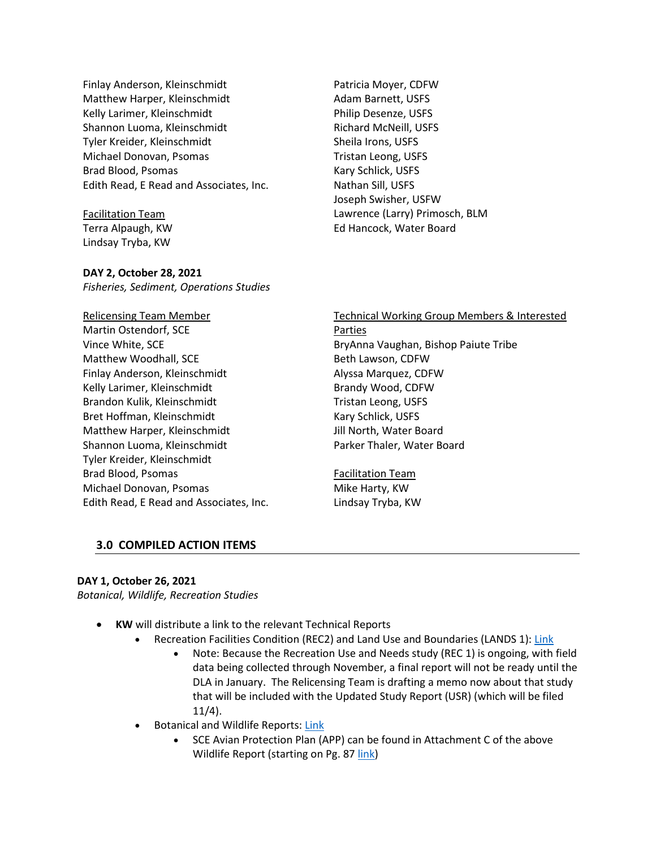Finlay Anderson, Kleinschmidt Matthew Harper, Kleinschmidt Kelly Larimer, Kleinschmidt Shannon Luoma, Kleinschmidt Tyler Kreider, Kleinschmidt Michael Donovan, Psomas Brad Blood, Psomas Edith Read, E Read and Associates, Inc.

Facilitation Team Terra Alpaugh, KW Lindsay Tryba, KW

Patricia Moyer, CDFW Adam Barnett, USFS Philip Desenze, USFS Richard McNeill, USFS Sheila Irons, USFS Tristan Leong, USFS Kary Schlick, USFS Nathan Sill, USFS Joseph Swisher, USFW Lawrence (Larry) Primosch, BLM Ed Hancock, Water Board

#### **DAY 2, October 28, 2021**

*Fisheries, Sediment, Operations Studies*

Relicensing Team Member Martin Ostendorf, SCE Vince White, SCE Matthew Woodhall, SCE Finlay Anderson, Kleinschmidt Kelly Larimer, Kleinschmidt Brandon Kulik, Kleinschmidt Bret Hoffman, Kleinschmidt Matthew Harper, Kleinschmidt Shannon Luoma, Kleinschmidt Tyler Kreider, Kleinschmidt Brad Blood, Psomas Michael Donovan, Psomas Edith Read, E Read and Associates, Inc. Technical Working Group Members & Interested Parties BryAnna Vaughan, Bishop Paiute Tribe Beth Lawson, CDFW Alyssa Marquez, CDFW Brandy Wood, CDFW Tristan Leong, USFS Kary Schlick, USFS Jill North, Water Board Parker Thaler, Water Board

Facilitation Team Mike Harty, KW Lindsay Tryba, KW

#### **3.0 COMPILED ACTION ITEMS**

#### **DAY 1, October 26, 2021**

*Botanical, Wildlife, Recreation Studies*

- **KW** will distribute a link to the relevant Technical Reports
	- Recreation Facilities Condition (REC2) and Land Use and Boundaries (LANDS 1): [Link](https://nam02.safelinks.protection.outlook.com/?url=https%3A%2F%2Fkleinschmidt.sharefile.com%2Fshare%2Fview%2Fscd04163227ee41ecb2f5b9e7f1dbf86f%2Ffofa52b8-040d-40e2-b980-b325c604e7fb&data=04%7C01%7CLTryba%40kearnswest.com%7Ca2ca8dd2f0c24ec4fd5908d999aa2556%7C51344e6568804bdc9b0ccb48e39ca3b5%7C0%7C0%7C637709778352939018%7CUnknown%7CTWFpbGZsb3d8eyJWIjoiMC4wLjAwMDAiLCJQIjoiV2luMzIiLCJBTiI6Ik1haWwiLCJXVCI6Mn0%3D%7C1000&sdata=9qvsZ%2FucWz4%2BDUBndqO3m39r3AWsdUDDeY7d%2F25sRfw%3D&reserved=0)
		- Note: Because the Recreation Use and Needs study (REC 1) is ongoing, with field data being collected through November, a final report will not be ready until the DLA in January. The Relicensing Team is drafting a memo now about that study that will be included with the Updated Study Report (USR) (which will be filed 11/4).
	- Botanical and Wildlife Reports[: Link](https://nam02.safelinks.protection.outlook.com/?url=https%3A%2F%2Fkleinschmidt.sharefile.com%2Fshare%2Fview%2Fsac7eccf613ca426f8cddde4dca5d6e0b%2Ffo7d81bf-07b0-430c-83b3-2b6b71b87e9b&data=04%7C01%7CLTryba%40kearnswest.com%7Ca2ca8dd2f0c24ec4fd5908d999aa2556%7C51344e6568804bdc9b0ccb48e39ca3b5%7C0%7C0%7C637709778352939018%7CUnknown%7CTWFpbGZsb3d8eyJWIjoiMC4wLjAwMDAiLCJQIjoiV2luMzIiLCJBTiI6Ik1haWwiLCJXVCI6Mn0%3D%7C1000&sdata=gyB1hQx%2BIOzKbc7uYqhbxpyunS1IR3HAZwJY1r7e5%2Fk%3D&reserved=0)
		- SCE Avian Protection Plan (APP) can be found in Attachment C of the above Wildlife Report (starting on Pg. 87 [link\)](https://nam02.safelinks.protection.outlook.com/?url=https%3A%2F%2Fkleinschmidt.sharefile.com%2Fshare%2Fview%2Fsac7eccf613ca426f8cddde4dca5d6e0b%2Ffo7d81bf-07b0-430c-83b3-2b6b71b87e9b&data=04%7C01%7CLTryba%40kearnswest.com%7Ca2ca8dd2f0c24ec4fd5908d999aa2556%7C51344e6568804bdc9b0ccb48e39ca3b5%7C0%7C0%7C637709778352948969%7CUnknown%7CTWFpbGZsb3d8eyJWIjoiMC4wLjAwMDAiLCJQIjoiV2luMzIiLCJBTiI6Ik1haWwiLCJXVCI6Mn0%3D%7C1000&sdata=3QG3GnC5LXZqtXj3c2iFbH5Z9k3TN9YEO4LJSgXRrxQ%3D&reserved=0)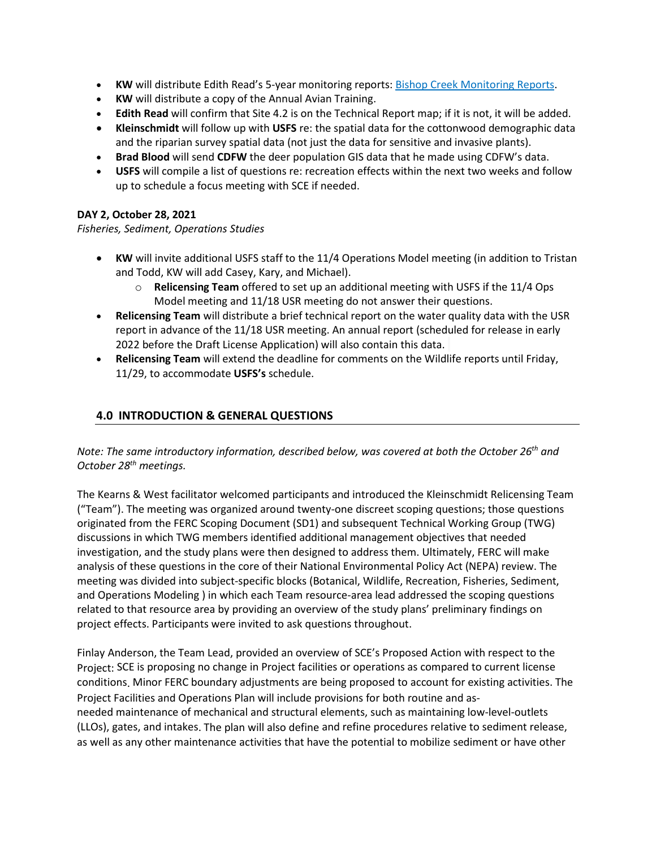- **KW** will distribute Edith Read's 5-year monitoring reports: [Bishop Creek Monitoring Reports.](https://nam02.safelinks.protection.outlook.com/?url=https%3A%2F%2Fkleinschmidt.sharefile.com%2Fshare%2Fview%2Fs97290070432247ff9f9dd3754e0147a9%2Ffo8c1c4d-6707-47a5-a1bd-0a9fcebea35b&data=04%7C01%7CLTryba%40kearnswest.com%7Ca2ca8dd2f0c24ec4fd5908d999aa2556%7C51344e6568804bdc9b0ccb48e39ca3b5%7C0%7C0%7C637709778352948969%7CUnknown%7CTWFpbGZsb3d8eyJWIjoiMC4wLjAwMDAiLCJQIjoiV2luMzIiLCJBTiI6Ik1haWwiLCJXVCI6Mn0%3D%7C1000&sdata=uYsbCVGOIYkL46sk%2FyJrEdD3pW528aj%2FvMn6v7bRH7c%3D&reserved=0)
- **KW** will distribute a copy of the Annual Avian Training.
- **Edith Read** will confirm that Site 4.2 is on the Technical Report map; if it is not, it will be added.
- **Kleinschmidt** will follow up with **USFS** re: the spatial data for the cottonwood demographic data and the riparian survey spatial data (not just the data for sensitive and invasive plants).
- **Brad Blood** will send **CDFW** the deer population GIS data that he made using CDFW's data.
- **USFS** will compile a list of questions re: recreation effects within the next two weeks and follow up to schedule a focus meeting with SCE if needed.

### **DAY 2, October 28, 2021**

*Fisheries, Sediment, Operations Studies*

- **KW** will invite additional USFS staff to the 11/4 Operations Model meeting (in addition to Tristan and Todd, KW will add Casey, Kary, and Michael).
	- o **Relicensing Team** offered to set up an additional meeting with USFS if the 11/4 Ops Model meeting and 11/18 USR meeting do not answer their questions.
- **Relicensing Team** will distribute a brief technical report on the water quality data with the USR report in advance of the 11/18 USR meeting. An annual report (scheduled for release in early 2022 before the Draft License Application) will also contain this data.
- **Relicensing Team** will extend the deadline for comments on the Wildlife reports until Friday, 11/29, to accommodate **USFS's** schedule.

### **4.0 INTRODUCTION & GENERAL QUESTIONS**

*Note: The same introductory information, described below, was covered at both the October 26th and October 28th meetings.*

The Kearns & West facilitator welcomed participants and introduced the Kleinschmidt Relicensing Team ("Team"). The meeting was organized around twenty-one discreet scoping questions; those questions originated from the FERC Scoping Document (SD1) and subsequent Technical Working Group (TWG) discussions in which TWG members identified additional management objectives that needed investigation, and the study plans were then designed to address them. Ultimately, FERC will make analysis of these questions in the core of their National Environmental Policy Act (NEPA) review. The meeting was divided into subject-specific blocks (Botanical, Wildlife, Recreation, Fisheries, Sediment, and Operations Modeling ) in which each Team resource-area lead addressed the scoping questions related to that resource area by providing an overview of the study plans' preliminary findings on project effects. Participants were invited to ask questions throughout.

Finlay Anderson, the Team Lead, provided an overview of SCE's Proposed Action with respect to the Project: SCE is proposing no change in Project facilities or operations as compared to current license conditions. Minor FERC boundary adjustments are being proposed to account for existing activities. The Project Facilities and Operations Plan will include provisions for both routine and asneeded maintenance of mechanical and structural elements, such as maintaining low-level-outlets (LLOs), gates, and intakes. The plan will also define and refine procedures relative to sediment release, as well as any other maintenance activities that have the potential to mobilize sediment or have other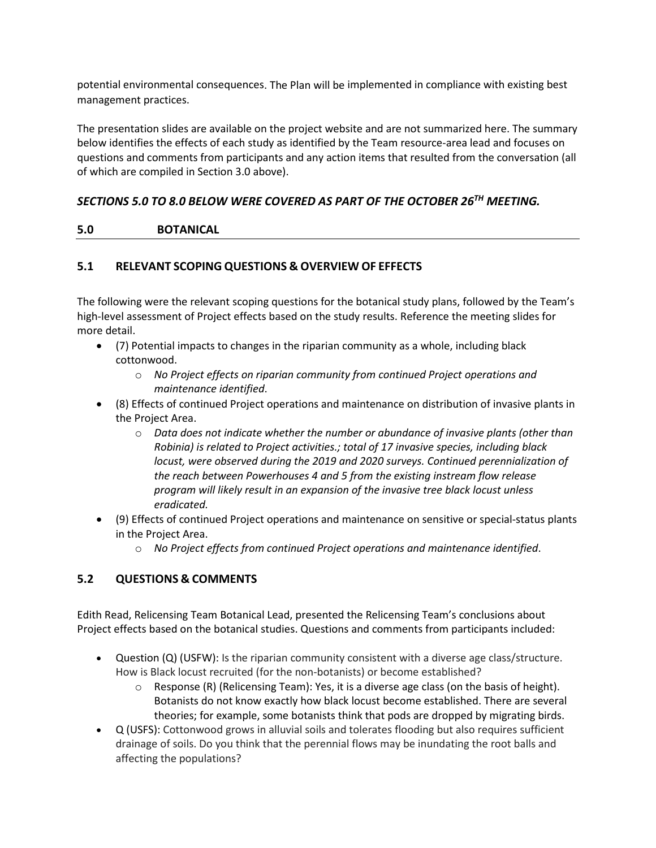potential environmental consequences. The Plan will be implemented in compliance with existing best management practices.

The presentation slides are available on the project website and are not summarized here. The summary below identifies the effects of each study as identified by the Team resource-area lead and focuses on questions and comments from participants and any action items that resulted from the conversation (all of which are compiled in Section 3.0 above).

# *SECTIONS 5.0 TO 8.0 BELOW WERE COVERED AS PART OF THE OCTOBER 26TH MEETING.*

### **5.0 BOTANICAL**

### **5.1 RELEVANT SCOPING QUESTIONS & OVERVIEW OF EFFECTS**

The following were the relevant scoping questions for the botanical study plans, followed by the Team's high-level assessment of Project effects based on the study results. Reference the meeting slides for more detail.

- (7) Potential impacts to changes in the riparian community as a whole, including black cottonwood.
	- o *No Project effects on riparian community from continued Project operations and maintenance identified*.
- (8) Effects of continued Project operations and maintenance on distribution of invasive plants in the Project Area.
	- o *Data does not indicate whether the number or abundance of invasive plants (other than Robinia) is related to Project activities.; total of 17 invasive species, including black locust, were observed during the 2019 and 2020 surveys. Continued perennialization of the reach between Powerhouses 4 and 5 from the existing instream flow release program will likely result in an expansion of the invasive tree black locust unless eradicated.*
- (9) Effects of continued Project operations and maintenance on sensitive or special-status plants in the Project Area.
	- o *No Project effects from continued Project operations and maintenance identified*.

# **5.2 QUESTIONS & COMMENTS**

Edith Read, Relicensing Team Botanical Lead, presented the Relicensing Team's conclusions about Project effects based on the botanical studies. Questions and comments from participants included:

- Question (Q) (USFW): Is the riparian community consistent with a diverse age class/structure. How is Black locust recruited (for the non-botanists) or become established?
	- $\circ$  Response (R) (Relicensing Team): Yes, it is a diverse age class (on the basis of height). Botanists do not know exactly how black locust become established. There are several theories; for example, some botanists think that pods are dropped by migrating birds.
- Q (USFS): Cottonwood grows in alluvial soils and tolerates flooding but also requires sufficient drainage of soils. Do you think that the perennial flows may be inundating the root balls and affecting the populations?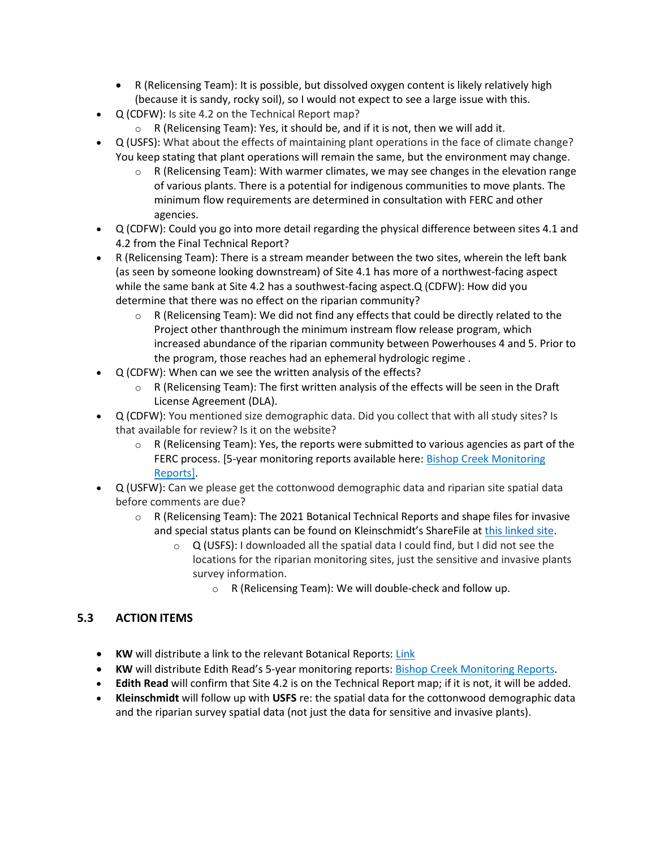- R (Relicensing Team): It is possible, but dissolved oxygen content is likely relatively high (because it is sandy, rocky soil), so I would not expect to see a large issue with this.
- Q (CDFW): Is site 4.2 on the Technical Report map?
	- $\circ$  R (Relicensing Team): Yes, it should be, and if it is not, then we will add it.
- Q (USFS): What about the effects of maintaining plant operations in the face of climate change? You keep stating that plant operations will remain the same, but the environment may change.
	- $\circ$  R (Relicensing Team): With warmer climates, we may see changes in the elevation range of various plants. There is a potential for indigenous communities to move plants. The minimum flow requirements are determined in consultation with FERC and other agencies.
- Q (CDFW): Could you go into more detail regarding the physical difference between sites 4.1 and 4.2 from the Final Technical Report?
- R (Relicensing Team): There is a stream meander between the two sites, wherein the left bank (as seen by someone looking downstream) of Site 4.1 has more of a northwest-facing aspect while the same bank at Site 4.2 has a southwest-facing aspect.Q (CDFW): How did you determine that there was no effect on the riparian community?
	- o R (Relicensing Team): We did not find any effects that could be directly related to the Project other thanthrough the minimum instream flow release program, which increased abundance of the riparian community between Powerhouses 4 and 5. Prior to the program, those reaches had an ephemeral hydrologic regime .
- Q (CDFW): When can we see the written analysis of the effects?
	- $\circ$  R (Relicensing Team): The first written analysis of the effects will be seen in the Draft License Agreement (DLA).
- Q (CDFW): You mentioned size demographic data. Did you collect that with all study sites? Is that available for review? Is it on the website?
	- $\circ$  R (Relicensing Team): Yes, the reports were submitted to various agencies as part of the FERC process. [5-year monitoring reports available here: Bishop Creek Monitoring [Reports\]](https://nam02.safelinks.protection.outlook.com/?url=https%3A%2F%2Fkleinschmidt.sharefile.com%2Fshare%2Fview%2Fs97290070432247ff9f9dd3754e0147a9%2Ffo8c1c4d-6707-47a5-a1bd-0a9fcebea35b&data=04%7C01%7CLTryba%40kearnswest.com%7Ca2ca8dd2f0c24ec4fd5908d999aa2556%7C51344e6568804bdc9b0ccb48e39ca3b5%7C0%7C0%7C637709778352948969%7CUnknown%7CTWFpbGZsb3d8eyJWIjoiMC4wLjAwMDAiLCJQIjoiV2luMzIiLCJBTiI6Ik1haWwiLCJXVCI6Mn0%3D%7C1000&sdata=uYsbCVGOIYkL46sk%2FyJrEdD3pW528aj%2FvMn6v7bRH7c%3D&reserved=0).
- Q (USFW): Can we please get the cottonwood demographic data and riparian site spatial data before comments are due?
	- $\circ$  R (Relicensing Team): The 2021 Botanical Technical Reports and shape files for invasive and special status plants can be found on Kleinschmidt's ShareFile a[t this linked site.](https://kleinschmidt.sharefile.com/share/view/sd4813c30f17b429cbb7ff059dc976717/fof33ab1-8e0d-490d-a21b-f6fbc3d049de)
		- $\circ$  Q (USFS): I downloaded all the spatial data I could find, but I did not see the locations for the riparian monitoring sites, just the sensitive and invasive plants survey information.
			- o R (Relicensing Team): We will double-check and follow up.

# **5.3 ACTION ITEMS**

- **KW** will distribute a link to the relevant Botanical Reports: [Link](https://nam02.safelinks.protection.outlook.com/?url=https%3A%2F%2Fkleinschmidt.sharefile.com%2Fshare%2Fview%2Fsac7eccf613ca426f8cddde4dca5d6e0b%2Ffo7d81bf-07b0-430c-83b3-2b6b71b87e9b&data=04%7C01%7CLTryba%40kearnswest.com%7Ca2ca8dd2f0c24ec4fd5908d999aa2556%7C51344e6568804bdc9b0ccb48e39ca3b5%7C0%7C0%7C637709778352939018%7CUnknown%7CTWFpbGZsb3d8eyJWIjoiMC4wLjAwMDAiLCJQIjoiV2luMzIiLCJBTiI6Ik1haWwiLCJXVCI6Mn0%3D%7C1000&sdata=gyB1hQx%2BIOzKbc7uYqhbxpyunS1IR3HAZwJY1r7e5%2Fk%3D&reserved=0)
- **KW** will distribute Edith Read's 5-year monitoring reports: [Bishop Creek Monitoring Reports.](https://nam02.safelinks.protection.outlook.com/?url=https%3A%2F%2Fkleinschmidt.sharefile.com%2Fshare%2Fview%2Fs97290070432247ff9f9dd3754e0147a9%2Ffo8c1c4d-6707-47a5-a1bd-0a9fcebea35b&data=04%7C01%7CLTryba%40kearnswest.com%7Ca2ca8dd2f0c24ec4fd5908d999aa2556%7C51344e6568804bdc9b0ccb48e39ca3b5%7C0%7C0%7C637709778352948969%7CUnknown%7CTWFpbGZsb3d8eyJWIjoiMC4wLjAwMDAiLCJQIjoiV2luMzIiLCJBTiI6Ik1haWwiLCJXVCI6Mn0%3D%7C1000&sdata=uYsbCVGOIYkL46sk%2FyJrEdD3pW528aj%2FvMn6v7bRH7c%3D&reserved=0)
- **Edith Read** will confirm that Site 4.2 is on the Technical Report map; if it is not, it will be added.
- **Kleinschmidt** will follow up with **USFS** re: the spatial data for the cottonwood demographic data and the riparian survey spatial data (not just the data for sensitive and invasive plants).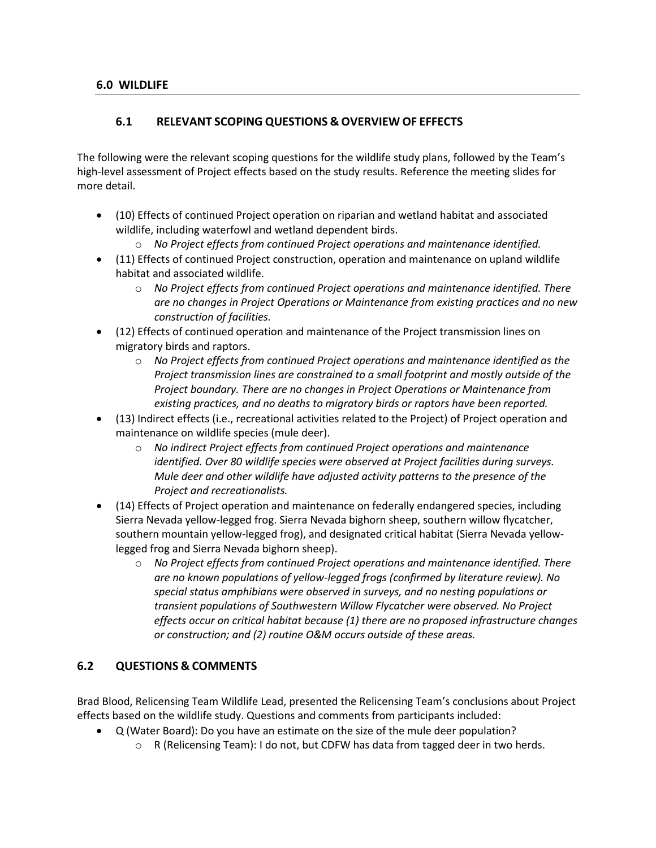### **6.1 RELEVANT SCOPING QUESTIONS & OVERVIEW OF EFFECTS**

The following were the relevant scoping questions for the wildlife study plans, followed by the Team's high-level assessment of Project effects based on the study results. Reference the meeting slides for more detail.

- (10) Effects of continued Project operation on riparian and wetland habitat and associated wildlife, including waterfowl and wetland dependent birds.
	- o *No Project effects from continued Project operations and maintenance identified.*
- (11) Effects of continued Project construction, operation and maintenance on upland wildlife habitat and associated wildlife.
	- o *No Project effects from continued Project operations and maintenance identified. There are no changes in Project Operations or Maintenance from existing practices and no new construction of facilities.*
- (12) Effects of continued operation and maintenance of the Project transmission lines on migratory birds and raptors.
	- o *No Project effects from continued Project operations and maintenance identified as the Project transmission lines are constrained to a small footprint and mostly outside of the Project boundary. There are no changes in Project Operations or Maintenance from existing practices, and no deaths to migratory birds or raptors have been reported.*
- (13) Indirect effects (i.e., recreational activities related to the Project) of Project operation and maintenance on wildlife species (mule deer).
	- o *No indirect Project effects from continued Project operations and maintenance identified. Over 80 wildlife species were observed at Project facilities during surveys. Mule deer and other wildlife have adjusted activity patterns to the presence of the Project and recreationalists.*
- (14) Effects of Project operation and maintenance on federally endangered species, including Sierra Nevada yellow-legged frog. Sierra Nevada bighorn sheep, southern willow flycatcher, southern mountain yellow-legged frog), and designated critical habitat (Sierra Nevada yellowlegged frog and Sierra Nevada bighorn sheep).
	- o *No Project effects from continued Project operations and maintenance identified. There are no known populations of yellow-legged frogs (confirmed by literature review). No special status amphibians were observed in surveys, and no nesting populations or transient populations of Southwestern Willow Flycatcher were observed. No Project effects occur on critical habitat because (1) there are no proposed infrastructure changes or construction; and (2) routine O&M occurs outside of these areas.*

# **6.2 QUESTIONS & COMMENTS**

Brad Blood, Relicensing Team Wildlife Lead, presented the Relicensing Team's conclusions about Project effects based on the wildlife study. Questions and comments from participants included:

- Q (Water Board): Do you have an estimate on the size of the mule deer population?
	- $\circ$  R (Relicensing Team): I do not, but CDFW has data from tagged deer in two herds.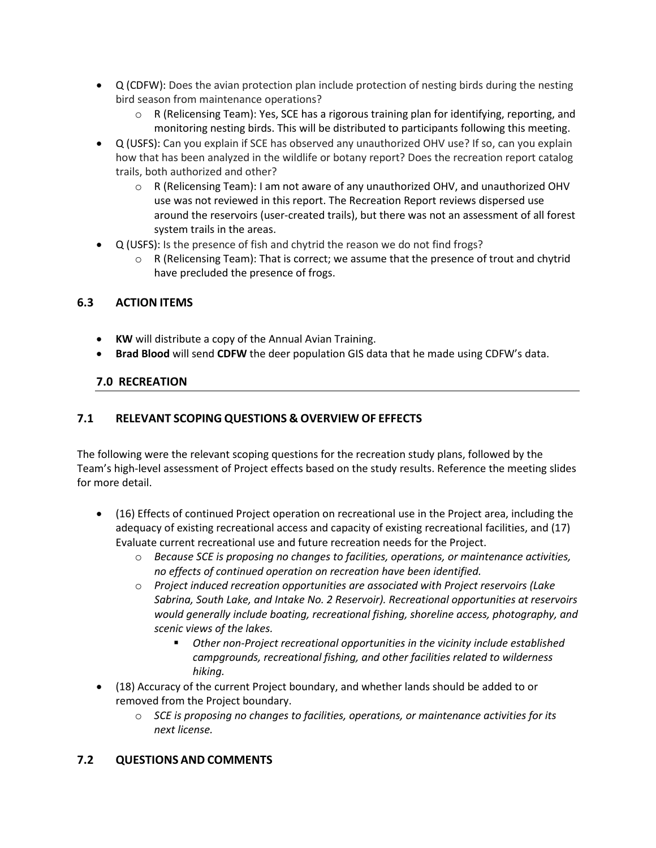- Q (CDFW): Does the avian protection plan include protection of nesting birds during the nesting bird season from maintenance operations?
	- $\circ$  R (Relicensing Team): Yes, SCE has a rigorous training plan for identifying, reporting, and monitoring nesting birds. This will be distributed to participants following this meeting.
- Q (USFS): Can you explain if SCE has observed any unauthorized OHV use? If so, can you explain how that has been analyzed in the wildlife or botany report? Does the recreation report catalog trails, both authorized and other?
	- o R (Relicensing Team): I am not aware of any unauthorized OHV, and unauthorized OHV use was not reviewed in this report. The Recreation Report reviews dispersed use around the reservoirs (user-created trails), but there was not an assessment of all forest system trails in the areas.
- Q (USFS): Is the presence of fish and chytrid the reason we do not find frogs?
	- o R (Relicensing Team): That is correct; we assume that the presence of trout and chytrid have precluded the presence of frogs.

# **6.3 ACTION ITEMS**

- **KW** will distribute a copy of the Annual Avian Training.
- **Brad Blood** will send **CDFW** the deer population GIS data that he made using CDFW's data.

### **7.0 RECREATION**

# **7.1 RELEVANT SCOPING QUESTIONS & OVERVIEW OF EFFECTS**

The following were the relevant scoping questions for the recreation study plans, followed by the Team's high-level assessment of Project effects based on the study results. Reference the meeting slides for more detail.

- (16) Effects of continued Project operation on recreational use in the Project area, including the adequacy of existing recreational access and capacity of existing recreational facilities, and (17) Evaluate current recreational use and future recreation needs for the Project.
	- o *Because SCE is proposing no changes to facilities, operations, or maintenance activities, no effects of continued operation on recreation have been identified.*
	- o *Project induced recreation opportunities are associated with Project reservoirs (Lake Sabrina, South Lake, and Intake No. 2 Reservoir). Recreational opportunities at reservoirs would generally include boating, recreational fishing, shoreline access, photography, and scenic views of the lakes.* 
		- *Other non-Project recreational opportunities in the vicinity include established campgrounds, recreational fishing, and other facilities related to wilderness hiking.*
- (18) Accuracy of the current Project boundary, and whether lands should be added to or removed from the Project boundary.
	- o *SCE is proposing no changes to facilities, operations, or maintenance activities for its next license.*

### **7.2 QUESTIONS AND COMMENTS**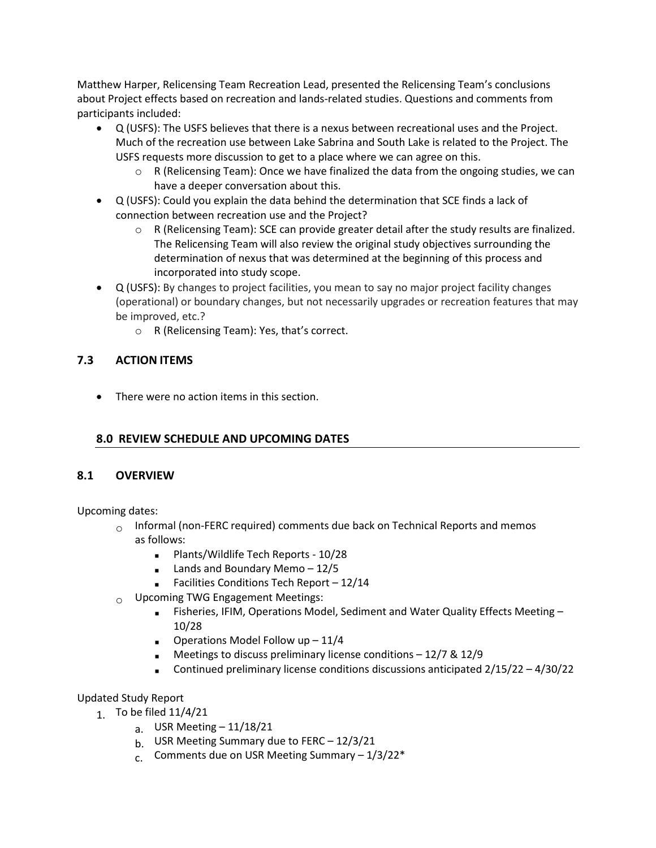Matthew Harper, Relicensing Team Recreation Lead, presented the Relicensing Team's conclusions about Project effects based on recreation and lands-related studies. Questions and comments from participants included:

- Q (USFS): The USFS believes that there is a nexus between recreational uses and the Project. Much of the recreation use between Lake Sabrina and South Lake is related to the Project. The USFS requests more discussion to get to a place where we can agree on this.
	- $\circ$  R (Relicensing Team): Once we have finalized the data from the ongoing studies, we can have a deeper conversation about this.
- Q (USFS): Could you explain the data behind the determination that SCE finds a lack of connection between recreation use and the Project?
	- o R (Relicensing Team): SCE can provide greater detail after the study results are finalized. The Relicensing Team will also review the original study objectives surrounding the determination of nexus that was determined at the beginning of this process and incorporated into study scope.
- Q (USFS): By changes to project facilities, you mean to say no major project facility changes (operational) or boundary changes, but not necessarily upgrades or recreation features that may be improved, etc.?
	- o R (Relicensing Team): Yes, that's correct.

### **7.3 ACTION ITEMS**

• There were no action items in this section.

# **8.0 REVIEW SCHEDULE AND UPCOMING DATES**

### **8.1 OVERVIEW**

Upcoming dates:

- $\circ$  Informal (non-FERC required) comments due back on Technical Reports and memos
- as follows:
	- **Plants/Wildlife Tech Reports 10/28**
	- $\blacksquare$  Lands and Boundary Memo 12/5
	- Facilities Conditions Tech Report 12/14
- $_{\bigcirc}$  Upcoming TWG Engagement Meetings:
	- **Fisheries, IFIM, Operations Model, Sediment and Water Quality Effects Meeting** 10/28
	- **D**erations Model Follow up  $-11/4$
	- Meetings to discuss preliminary license conditions  $-12/7$  & 12/9
	- Continued preliminary license conditions discussions anticipated  $2/15/22 4/30/22$

### Updated Study Report

- 1. To be filed 11/4/21
	- a. USR Meeting 11/18/21
	- b. USR Meeting Summary due to FERC 12/3/21
	- c. Comments due on USR Meeting Summary  $-1/3/22$ <sup>\*</sup>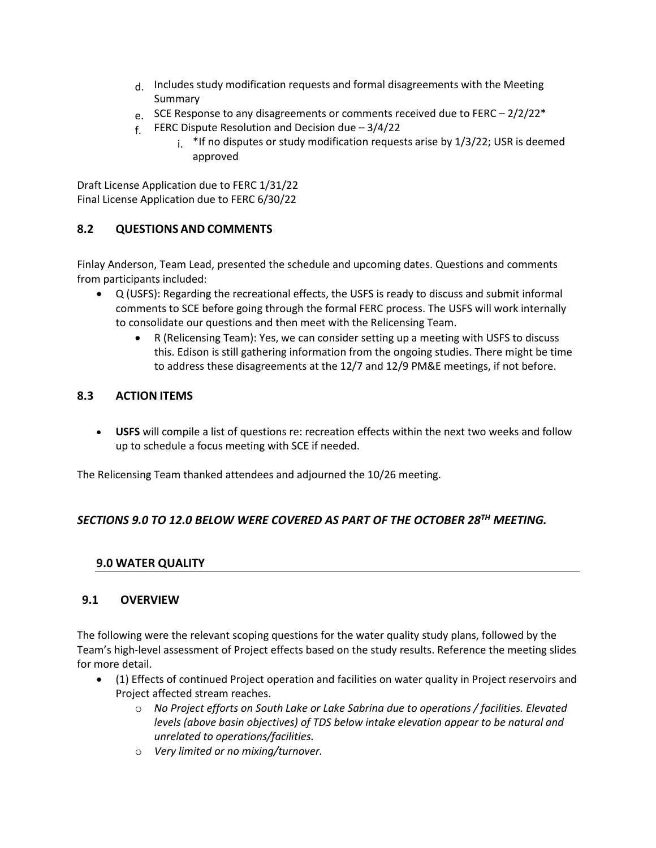- d. Includes study modification requests and formal disagreements with the Meeting Summary
- e. SCE Response to any disagreements or comments received due to FERC  $2/2/22^*$
- $f.$  FERC Dispute Resolution and Decision due 3/4/22
	- $i$ <sup>\*</sup>If no disputes or study modification requests arise by  $1/3/22$ ; USR is deemed approved

Draft License Application due to FERC 1/31/22 Final License Application due to FERC 6/30/22

### **8.2 QUESTIONS AND COMMENTS**

Finlay Anderson, Team Lead, presented the schedule and upcoming dates. Questions and comments from participants included:

- Q (USFS): Regarding the recreational effects, the USFS is ready to discuss and submit informal comments to SCE before going through the formal FERC process. The USFS will work internally to consolidate our questions and then meet with the Relicensing Team.
	- R (Relicensing Team): Yes, we can consider setting up a meeting with USFS to discuss this. Edison is still gathering information from the ongoing studies. There might be time to address these disagreements at the 12/7 and 12/9 PM&E meetings, if not before.

### **8.3 ACTION ITEMS**

• **USFS** will compile a list of questions re: recreation effects within the next two weeks and follow up to schedule a focus meeting with SCE if needed.

The Relicensing Team thanked attendees and adjourned the 10/26 meeting.

# *SECTIONS 9.0 TO 12.0 BELOW WERE COVERED AS PART OF THE OCTOBER 28TH MEETING.*

### **9.0 WATER QUALITY**

### **9.1 OVERVIEW**

The following were the relevant scoping questions for the water quality study plans, followed by the Team's high-level assessment of Project effects based on the study results. Reference the meeting slides for more detail.

- (1) Effects of continued Project operation and facilities on water quality in Project reservoirs and Project affected stream reaches.
	- o *No Project efforts on South Lake or Lake Sabrina due to operations / facilities. Elevated levels (above basin objectives) of TDS below intake elevation appear to be natural and unrelated to operations/facilities.*
	- o *Very limited or no mixing/turnover.*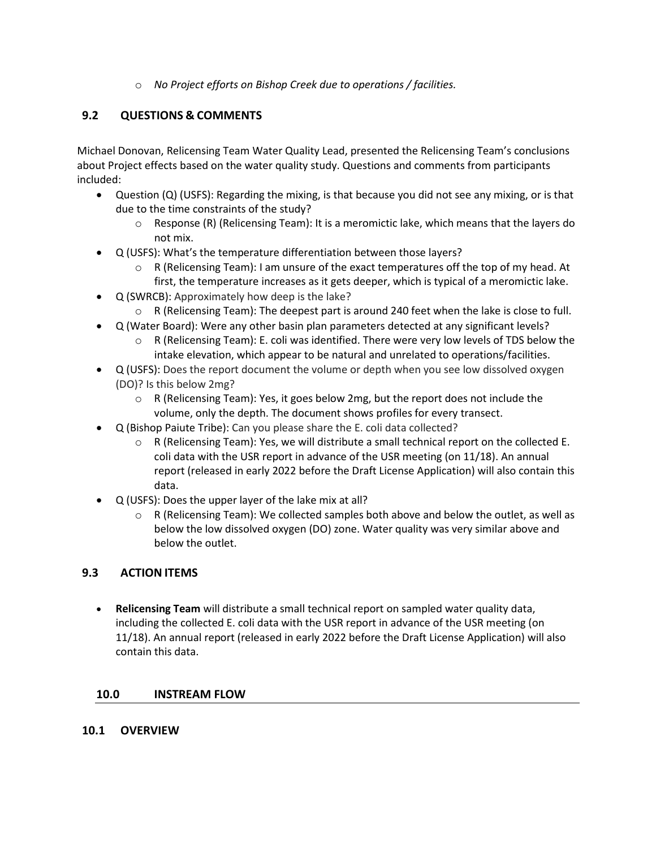o *No Project efforts on Bishop Creek due to operations / facilities.*

# **9.2 QUESTIONS & COMMENTS**

Michael Donovan, Relicensing Team Water Quality Lead, presented the Relicensing Team's conclusions about Project effects based on the water quality study. Questions and comments from participants included:

- Question (Q) (USFS): Regarding the mixing, is that because you did not see any mixing, or is that due to the time constraints of the study?
	- $\circ$  Response (R) (Relicensing Team): It is a meromictic lake, which means that the layers do not mix.
- Q (USFS): What's the temperature differentiation between those layers?
	- $\circ$  R (Relicensing Team): I am unsure of the exact temperatures off the top of my head. At first, the temperature increases as it gets deeper, which is typical of a meromictic lake.
- Q (SWRCB): Approximately how deep is the lake?
	- $\circ$  R (Relicensing Team): The deepest part is around 240 feet when the lake is close to full.
- Q (Water Board): Were any other basin plan parameters detected at any significant levels?
	- $\circ$  R (Relicensing Team): E. coli was identified. There were very low levels of TDS below the intake elevation, which appear to be natural and unrelated to operations/facilities.
- Q (USFS): Does the report document the volume or depth when you see low dissolved oxygen (DO)? Is this below 2mg?
	- $\circ$  R (Relicensing Team): Yes, it goes below 2mg, but the report does not include the volume, only the depth. The document shows profiles for every transect.
- Q (Bishop Paiute Tribe): Can you please share the E. coli data collected?
	- $\circ$  R (Relicensing Team): Yes, we will distribute a small technical report on the collected E. coli data with the USR report in advance of the USR meeting (on 11/18). An annual report (released in early 2022 before the Draft License Application) will also contain this data.
- Q (USFS): Does the upper layer of the lake mix at all?
	- $\circ$  R (Relicensing Team): We collected samples both above and below the outlet, as well as below the low dissolved oxygen (DO) zone. Water quality was very similar above and below the outlet.

### **9.3 ACTION ITEMS**

• **Relicensing Team** will distribute a small technical report on sampled water quality data, including the collected E. coli data with the USR report in advance of the USR meeting (on 11/18). An annual report (released in early 2022 before the Draft License Application) will also contain this data.

### **10.0 INSTREAM FLOW**

### **10.1 OVERVIEW**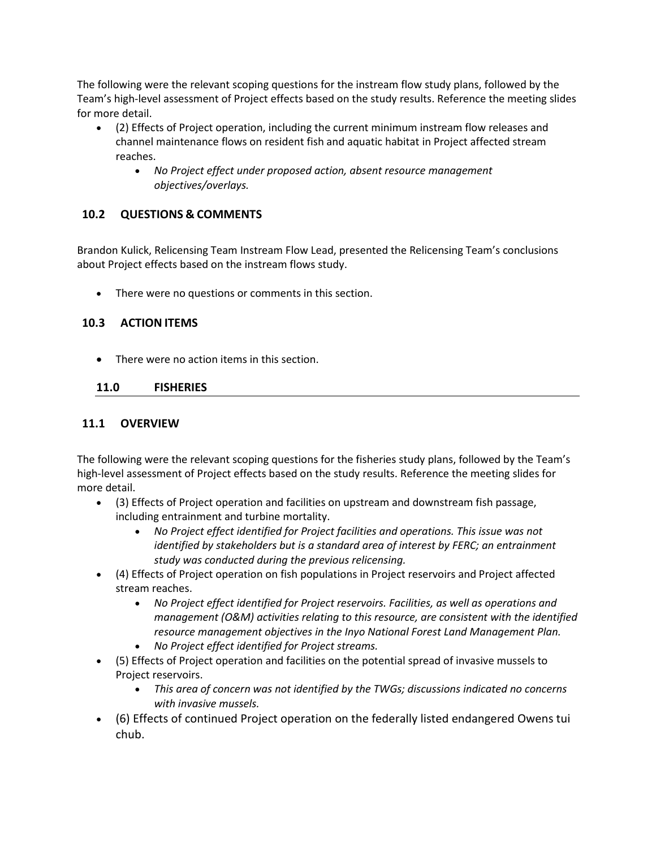The following were the relevant scoping questions for the instream flow study plans, followed by the Team's high-level assessment of Project effects based on the study results. Reference the meeting slides for more detail.

- (2) Effects of Project operation, including the current minimum instream flow releases and channel maintenance flows on resident fish and aquatic habitat in Project affected stream reaches.
	- *No Project effect under proposed action, absent resource management objectives/overlays.*

# **10.2 QUESTIONS & COMMENTS**

Brandon Kulick, Relicensing Team Instream Flow Lead, presented the Relicensing Team's conclusions about Project effects based on the instream flows study.

• There were no questions or comments in this section.

### **10.3 ACTION ITEMS**

• There were no action items in this section.

### **11.0 FISHERIES**

### **11.1 OVERVIEW**

The following were the relevant scoping questions for the fisheries study plans, followed by the Team's high-level assessment of Project effects based on the study results. Reference the meeting slides for more detail.

- (3) Effects of Project operation and facilities on upstream and downstream fish passage, including entrainment and turbine mortality.
	- *No Project effect identified for Project facilities and operations. This issue was not identified by stakeholders but is a standard area of interest by FERC; an entrainment study was conducted during the previous relicensing.*
- (4) Effects of Project operation on fish populations in Project reservoirs and Project affected stream reaches.
	- *No Project effect identified for Project reservoirs. Facilities, as well as operations and management (O&M) activities relating to this resource, are consistent with the identified resource management objectives in the Inyo National Forest Land Management Plan.*
	- *No Project effect identified for Project streams.*
- (5) Effects of Project operation and facilities on the potential spread of invasive mussels to Project reservoirs.
	- *This area of concern was not identified by the TWGs; discussions indicated no concerns with invasive mussels.*
- (6) Effects of continued Project operation on the federally listed endangered Owens tui chub.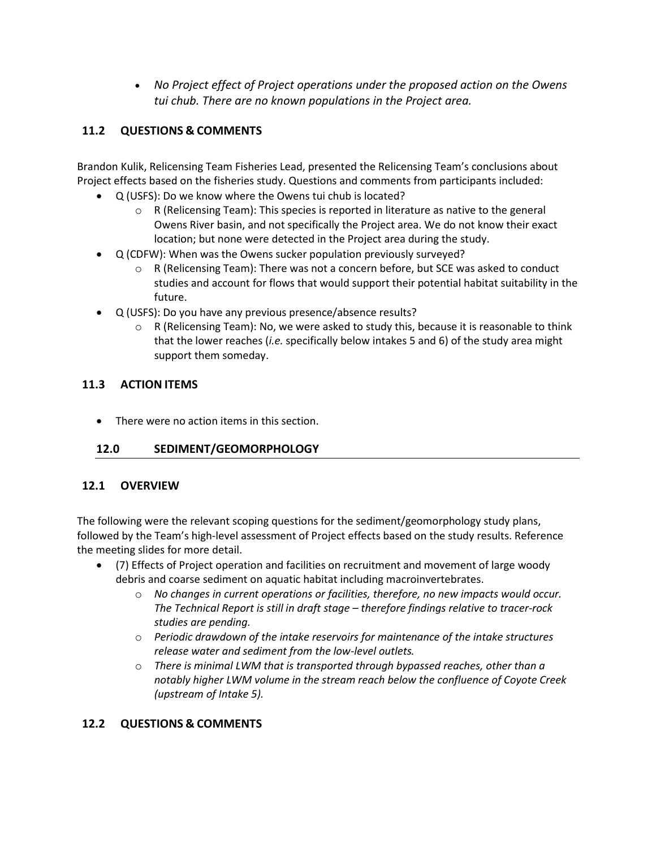• *No Project effect of Project operations under the proposed action on the Owens tui chub. There are no known populations in the Project area.*

# **11.2 QUESTIONS & COMMENTS**

Brandon Kulik, Relicensing Team Fisheries Lead, presented the Relicensing Team's conclusions about Project effects based on the fisheries study. Questions and comments from participants included:

- Q (USFS): Do we know where the Owens tui chub is located?
	- $\circ$  R (Relicensing Team): This species is reported in literature as native to the general Owens River basin, and not specifically the Project area. We do not know their exact location; but none were detected in the Project area during the study.
- Q (CDFW): When was the Owens sucker population previously surveyed?
	- $\circ$  R (Relicensing Team): There was not a concern before, but SCE was asked to conduct studies and account for flows that would support their potential habitat suitability in the future.
- Q (USFS): Do you have any previous presence/absence results?
	- $\circ$  R (Relicensing Team): No, we were asked to study this, because it is reasonable to think that the lower reaches (*i.e.* specifically below intakes 5 and 6) of the study area might support them someday.

### **11.3 ACTION ITEMS**

• There were no action items in this section.

# **12.0 SEDIMENT/GEOMORPHOLOGY**

### **12.1 OVERVIEW**

The following were the relevant scoping questions for the sediment/geomorphology study plans, followed by the Team's high-level assessment of Project effects based on the study results. Reference the meeting slides for more detail.

- (7) Effects of Project operation and facilities on recruitment and movement of large woody debris and coarse sediment on aquatic habitat including macroinvertebrates.
	- o *No changes in current operations or facilities, therefore, no new impacts would occur. The Technical Report is still in draft stage – therefore findings relative to tracer-rock studies are pending.*
	- o *Periodic drawdown of the intake reservoirs for maintenance of the intake structures release water and sediment from the low-level outlets.*
	- o *There is minimal LWM that is transported through bypassed reaches, other than a notably higher LWM volume in the stream reach below the confluence of Coyote Creek (upstream of Intake 5).*

### **12.2 QUESTIONS & COMMENTS**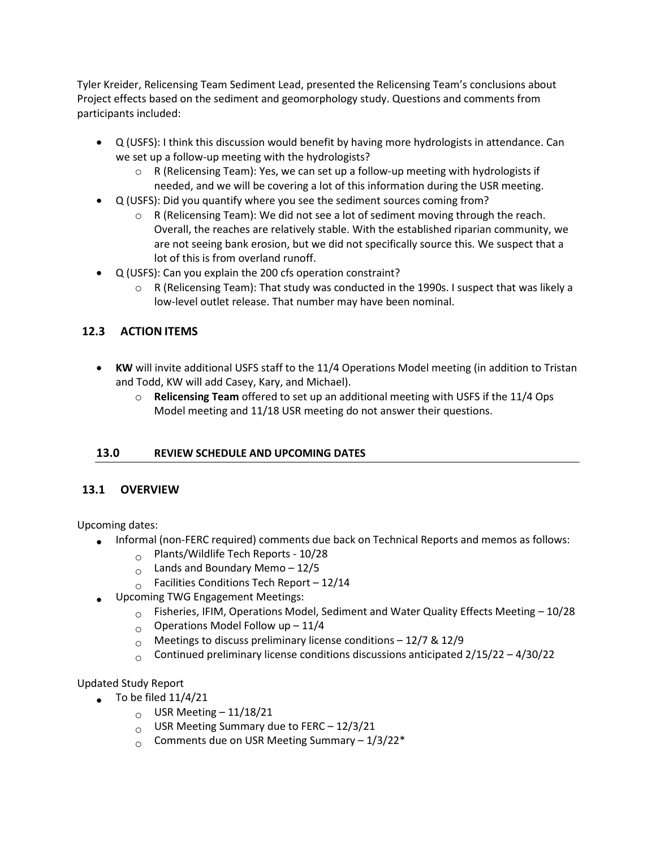Tyler Kreider, Relicensing Team Sediment Lead, presented the Relicensing Team's conclusions about Project effects based on the sediment and geomorphology study. Questions and comments from participants included:

- Q (USFS): I think this discussion would benefit by having more hydrologists in attendance. Can we set up a follow-up meeting with the hydrologists?
	- $\circ$  R (Relicensing Team): Yes, we can set up a follow-up meeting with hydrologists if needed, and we will be covering a lot of this information during the USR meeting.
- Q (USFS): Did you quantify where you see the sediment sources coming from?
	- o R (Relicensing Team): We did not see a lot of sediment moving through the reach. Overall, the reaches are relatively stable. With the established riparian community, we are not seeing bank erosion, but we did not specifically source this. We suspect that a lot of this is from overland runoff.
- Q (USFS): Can you explain the 200 cfs operation constraint?
	- $\circ$  R (Relicensing Team): That study was conducted in the 1990s. I suspect that was likely a low-level outlet release. That number may have been nominal.

# **12.3 ACTION ITEMS**

- **KW** will invite additional USFS staff to the 11/4 Operations Model meeting (in addition to Tristan and Todd, KW will add Casey, Kary, and Michael).
	- o **Relicensing Team** offered to set up an additional meeting with USFS if the 11/4 Ops Model meeting and 11/18 USR meeting do not answer their questions.

### **13.0 REVIEW SCHEDULE AND UPCOMING DATES**

### **13.1 OVERVIEW**

Upcoming dates:

- Informal (non-FERC required) comments due back on Technical Reports and memos as follows:
	- $\degree$  Plants/Wildlife Tech Reports 10/28
	- $_{\circ}$  Lands and Boundary Memo 12/5
	- $\circ$  Facilities Conditions Tech Report 12/14
- Upcoming TWG Engagement Meetings:
	- $\circ$  Fisheries, IFIM, Operations Model, Sediment and Water Quality Effects Meeting 10/28
	- $\circ$  Operations Model Follow up 11/4
	-
	- $\circ$  Meetings to discuss preliminary license conditions 12/7 & 12/9<br>  $\circ$  Continued preliminary license conditions discussions anticipated Continued preliminary license conditions discussions anticipated  $2/15/22 - 4/30/22$

Updated Study Report

- $\bullet$  To be filed  $11/4/21$ 
	- $_{\circ}$  USR Meeting 11/18/21
	- $_{\circ}$  USR Meeting Summary due to FERC 12/3/21
	- $_{\circ}$  Comments due on USR Meeting Summary 1/3/22\*